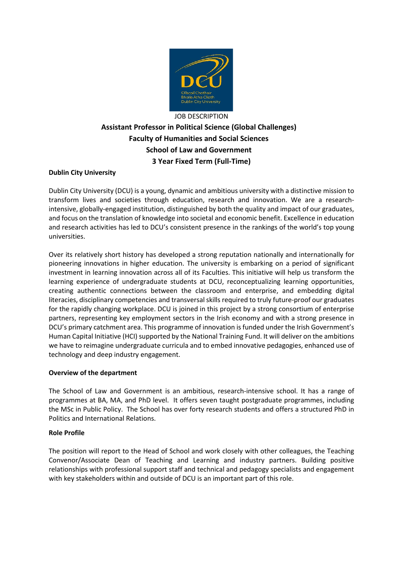

# JOB DESCRIPTION **Assistant Professor in Political Science (Global Challenges) Faculty of Humanities and Social Sciences School of Law and Government 3 Year Fixed Term (Full-Time)**

## **Dublin City University**

Dublin City University (DCU) is a young, dynamic and ambitious university with a distinctive mission to transform lives and societies through education, research and innovation. We are a researchintensive, globally-engaged institution, distinguished by both the quality and impact of our graduates, and focus on the translation of knowledge into societal and economic benefit. Excellence in education and research activities has led to DCU's consistent presence in the rankings of the world's top young universities.

Over its relatively short history has developed a strong reputation nationally and internationally for pioneering innovations in higher education. The university is embarking on a period of significant investment in learning innovation across all of its Faculties. This initiative will help us transform the learning experience of undergraduate students at DCU, reconceptualizing learning opportunities, creating authentic connections between the classroom and enterprise, and embedding digital literacies, disciplinary competencies and transversal skills required to truly future-proof our graduates for the rapidly changing workplace. DCU is joined in this project by a strong consortium of enterprise partners, representing key employment sectors in the Irish economy and with a strong presence in DCU's primary catchment area. This programme of innovation is funded under the Irish Government's Human Capital Initiative (HCI) supported by the National Training Fund. It will deliver on the ambitions we have to reimagine undergraduate curricula and to embed innovative pedagogies, enhanced use of technology and deep industry engagement.

## **Overview of the department**

The School of Law and Government is an ambitious, research-intensive school. It has a range of programmes at BA, MA, and PhD level. It offers seven taught postgraduate programmes, including the MSc in Public Policy. The School has over forty research students and offers a structured PhD in Politics and International Relations.

## **Role Profile**

The position will report to the Head of School and work closely with other colleagues, the Teaching Convenor/Associate Dean of Teaching and Learning and industry partners. Building positive relationships with professional support staff and technical and pedagogy specialists and engagement with key stakeholders within and outside of DCU is an important part of this role.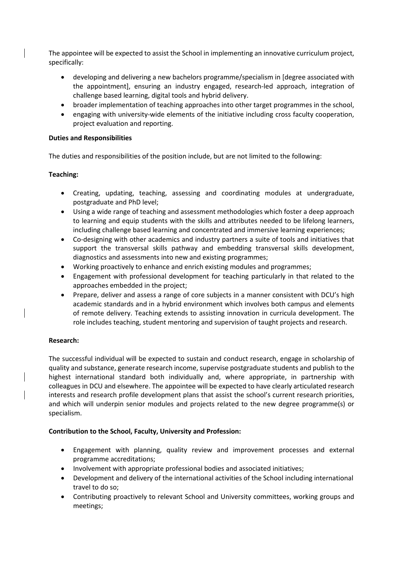The appointee will be expected to assist the School in implementing an innovative curriculum project, specifically:

- developing and delivering a new bachelors programme/specialism in [degree associated with the appointment], ensuring an industry engaged, research-led approach, integration of challenge based learning, digital tools and hybrid delivery.
- broader implementation of teaching approaches into other target programmes in the school,
- engaging with university-wide elements of the initiative including cross faculty cooperation, project evaluation and reporting.

## **Duties and Responsibilities**

The duties and responsibilities of the position include, but are not limited to the following:

## **Teaching:**

- Creating, updating, teaching, assessing and coordinating modules at undergraduate, postgraduate and PhD level;
- Using a wide range of teaching and assessment methodologies which foster a deep approach to learning and equip students with the skills and attributes needed to be lifelong learners, including challenge based learning and concentrated and immersive learning experiences;
- Co-designing with other academics and industry partners a suite of tools and initiatives that support the transversal skills pathway and embedding transversal skills development, diagnostics and assessments into new and existing programmes;
- Working proactively to enhance and enrich existing modules and programmes;
- Engagement with professional development for teaching particularly in that related to the approaches embedded in the project;
- Prepare, deliver and assess a range of core subjects in a manner consistent with DCU's high academic standards and in a hybrid environment which involves both campus and elements of remote delivery. Teaching extends to assisting innovation in curricula development. The role includes teaching, student mentoring and supervision of taught projects and research.

## **Research:**

The successful individual will be expected to sustain and conduct research, engage in scholarship of quality and substance, generate research income, supervise postgraduate students and publish to the highest international standard both individually and, where appropriate, in partnership with colleagues in DCU and elsewhere. The appointee will be expected to have clearly articulated research interests and research profile development plans that assist the school's current research priorities, and which will underpin senior modules and projects related to the new degree programme(s) or specialism.

## **Contribution to the School, Faculty, University and Profession:**

- Engagement with planning, quality review and improvement processes and external programme accreditations;
- Involvement with appropriate professional bodies and associated initiatives;
- Development and delivery of the international activities of the School including international travel to do so;
- Contributing proactively to relevant School and University committees, working groups and meetings;